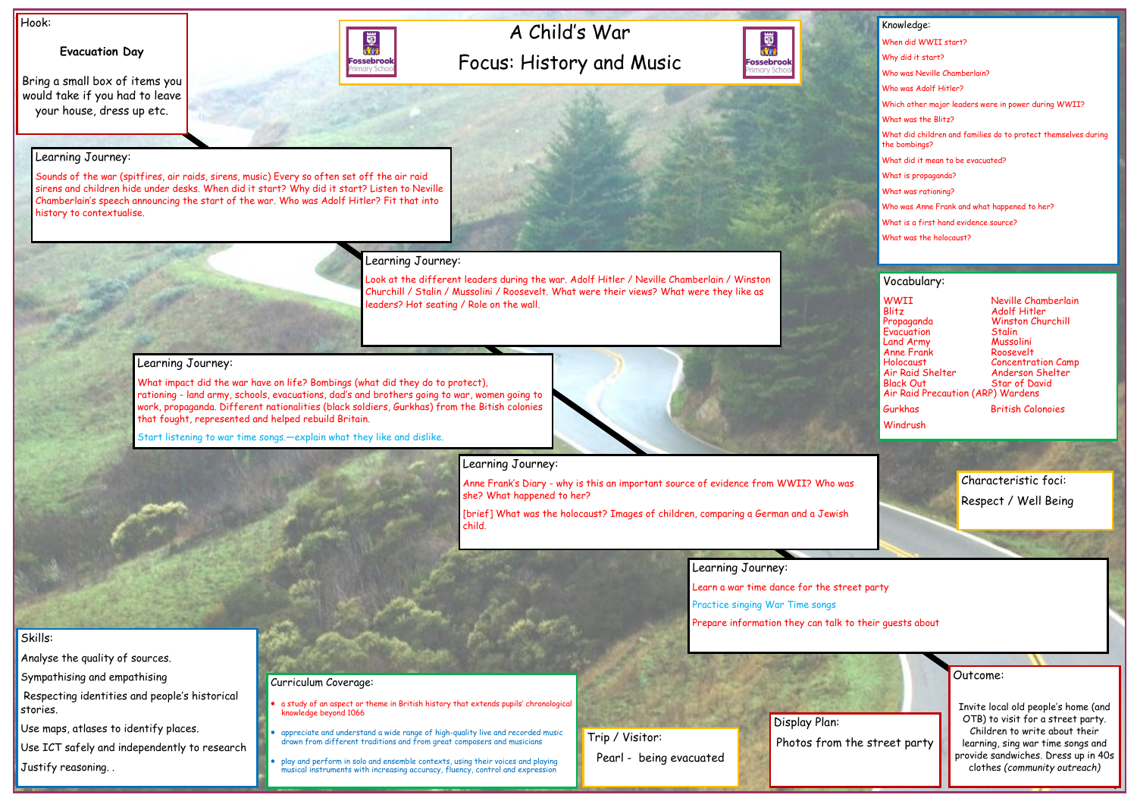# A Child's War Focus: History and Music



#### Hook:

# **Evacuation Day**

Bring a small box of items you would take if you had to leave your house, dress up etc.



Outcome:

Invite local old people's home (and OTB) to visit for a street party. Children to write about their learning, sing war time songs and provide sandwiches. Dress up in 40s clothes *(community outreach)*

#### Knowledge:

When did WWII start? Why did it start? Who was Neville Chamberlain? Who was Adolf Hitler? Which other major leaders were in power during WWII? What was the Blitz? What did children and families do to protect themselves during the bombings? What did it mean to be evacuated? What is propaganda? What was rationing? Who was Anne Frank and what happened to her? What is a first hand evidence source? What was the holocaust?

### Skills:

Analyse the quality of sources.

Sympathising and empathising

Respecting identities and people's historical stories.

Use maps, atlases to identify places.

Use ICT safely and independently to research

Justify reasoning. .

# Learning Journey:

Sounds of the war (spitfires, air raids, sirens, music) Every so often set off the air raid sirens and children hide under desks. When did it start? Why did it start? Listen to Neville Chamberlain's speech announcing the start of the war. Who was Adolf Hitler? Fit that into history to contextualise.

## Learning Journey:

Look at the different leaders during the war. Adolf Hitler / Neville Chamberlain / Winston Churchill / Stalin / Mussolini / Roosevelt. What were their views? What were they like as leaders? Hot seating / Role on the wall.

WWII Neville Chamberlain Blitz Adolf Hitler Propaganda Winston Churchill Evacuation Stalin Land Army Mussolini Anne Frank<br>Holocaust Holocaust Concentration Camp Air Raid Shelter Anderson Shelter Air Raid Precaution (ARP) Wardens

Star of David

**Windrush** 

Trip / Visitor: **Photos from the street party** Pearl - being evacuated

## Learning Journey:

What impact did the war have on life? Bombings (what did they do to protect), rationing - land army, schools, evacuations, dad's and brothers going to war, women going to work, propaganda. Different nationalities (black soldiers, Gurkhas) from the Bitish colonies that fought, represented and helped rebuild Britain.

Start listening to war time songs.—explain what they like and dislike.



Anne Frank's Diary - why is this an important source of evidence from WWII? Who was she? What happened to her?

[brief] What was the holocaust? Images of children, comparing a German and a Jewish child.

### Learning Journey:

Learn a war time dance for the street party

Practice singing War Time songs

Prepare information they can talk to their guests about

### Curriculum Coverage:

- a study of an aspect or theme in British history that extends pupils' chronological knowledge beyond 1066
- appreciate and understand a wide range of high-quality live and recorded music drawn from different traditions and from great composers and musicians
- play and perform in solo and ensemble contexts, using their voices and playing musical instruments with increasing accuracy, fluency, control and expression

Vocabulary:

Gurkhas British Colonoies

Display Plan:

Characteristic foci: Respect / Well Being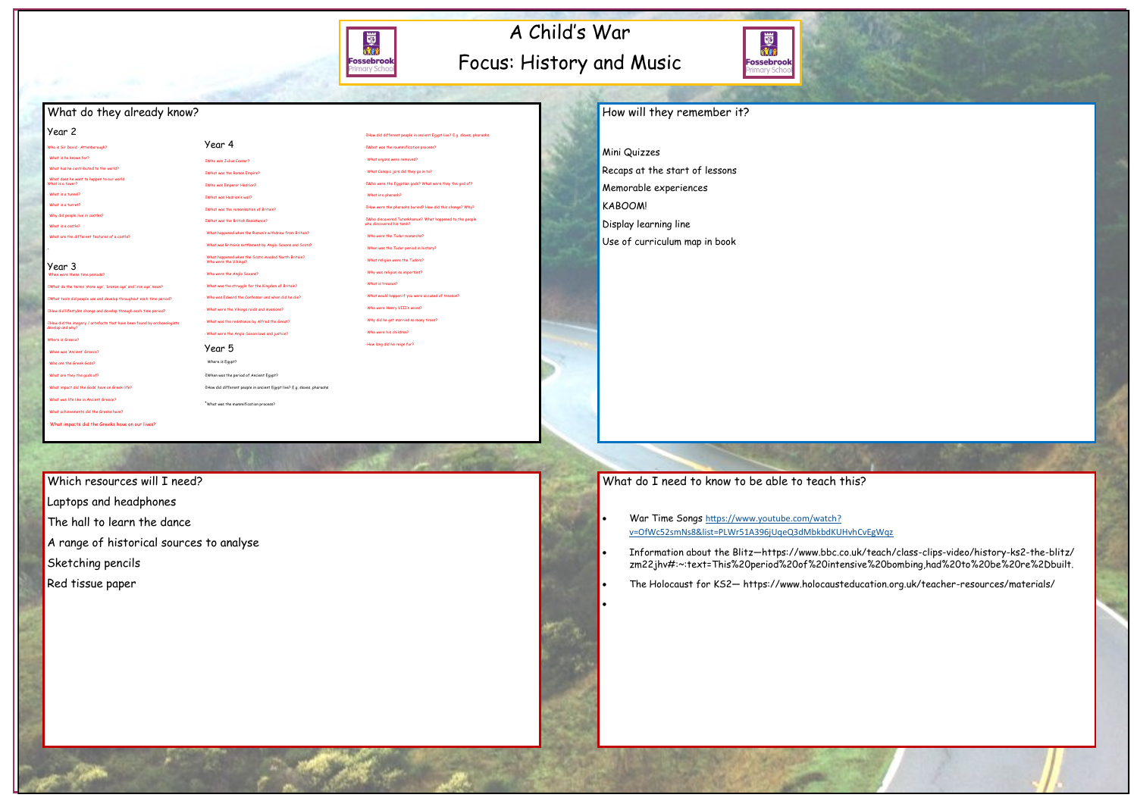# A Child's War Focus: History and Music



# What do they already know?

#### Year 2

Who is Sir David · Attenborough? · What is he known for? · What has he contributed to the world?

· What does he want to happen to our world What is a tower?

- · What do the terms 'stone age', 'bronze age' and 'iron age' mean?
- · What tools did people use and develop throughout each time period?
- ow did lifestyles change and develop through each time period?
- · How did the imagery / artefacts that have been found by archaeologists develop and why?
- Where is Greece?
- · When was 'Ancient' Greece?
- · Who are the Greek Gods?
- · What are they the gods of? · What impact did the Gods' have on Greek life?
- · What was life like in Ancient Greece?
- · What achievements did the Greeks have?
- What impacts did the Greeks have on our lives?

· What is a tunnel?

· What is a turret?

· Why did people live in castles? · What is a castle?

· What are the different features of a castle?

·

#### Year 3 When were these time periods?

Which resources will I need? Laptops and headphones

- The hall to learn the dance
- A range of historical sources to analyse
- Sketching pencils
- Red tissue paper

# How will they remember it?

Mini Quizzes Recaps at the start of lessons Memorable experiences KABOOM!

Display learning line

Use of curriculum map in book

# What do I need to know to be able to teach this?

- War Time Songs [https://www.youtube.com/watch?](https://www.youtube.com/watch?v=OfWc52smNs8&list=PLWr51A396jUqeQ3dMbkbdKUHvhCvEgWqz) [v=OfWc52smNs8&list=PLWr51A396jUqeQ3dMbkbdKUHvhCvEgWqz](https://www.youtube.com/watch?v=OfWc52smNs8&list=PLWr51A396jUqeQ3dMbkbdKUHvhCvEgWqz)
- Information about the Blitz—https://www.bbc.co.uk/teach/class-clips-video/history-ks2-the-blitz/ zm22jhv#:~:text=This%20period%20of%20intensive%20bombing,had%20to%20be%20re%2Dbuilt.
- The Holocaust for KS2— https://www.holocausteducation.org.uk/teacher-resources/materials/

•

- Year 4 · Who was Julius Caesar? · What was the Roman Empire? · Who was Emperor Hadrian? · What was Hadrian's wall? · What was the romanisation of Britain? · What was the British Resistance? · What happened when the Roman's withdrew from Britain? · What was Britain's settlement by Anglo-Saxons and Scots? · What happened when the Scots invaded North Britain? · Who were the Vikings? · Who were the Anglo Saxons?
- · What was the struggle for the Kingdom of Britain? · Who was Edward the Confessor and when did he die?
- · What were the Vikings raids and invasions?
- · What was the resistance by Alfred the Great? · What were the Anglo-Saxon laws and justice?

# Year 5



· How did different people in ancient Egypt live? E.g. slaves, pharaohs

· What was the mummification process? · What organs were removed? · What Canopic jars did they go in to?

· Who were the Egyptian gods? What were they the god of?

· What is a pharaoh?

- Where is Egypt? · When was the period of Ancient Egypt?
- 
- ·What was the mummification process?
- 
- · How did different people in ancient Egypt live? E.g. slaves, pharaohs
- · What would happen if you were accused of treason? · Who were Henry VIII's wives? · Why did he get married so many times? · Who were his children?
	- · How long did he reign for?

· How were the pharaohs buried? How did this change? Why? · Who discovered Tutankhamun? What happened to the people who discovered his tomb?

· Who were the Tudor monarchs? · When was the Tudor period in history? · What religion were the Tudors? · Why was religion so important? · What is treason?